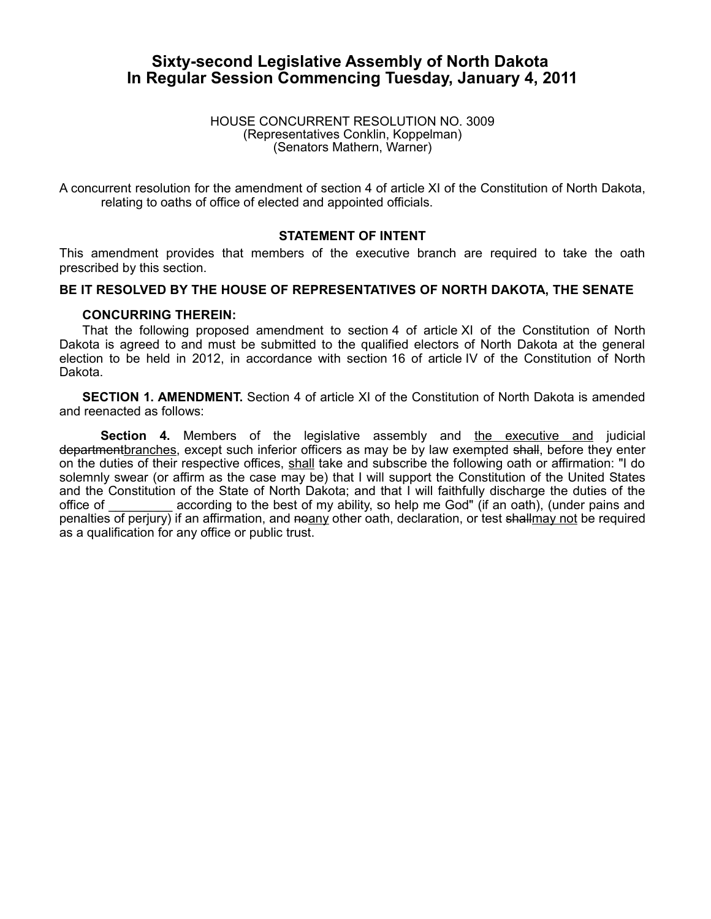# **Sixty-second Legislative Assembly of North Dakota In Regular Session Commencing Tuesday, January 4, 2011**

### HOUSE CONCURRENT RESOLUTION NO. 3009 (Representatives Conklin, Koppelman) (Senators Mathern, Warner)

A concurrent resolution for the amendment of section 4 of article XI of the Constitution of North Dakota, relating to oaths of office of elected and appointed officials.

## **STATEMENT OF INTENT**

This amendment provides that members of the executive branch are required to take the oath prescribed by this section.

## **BE IT RESOLVED BY THE HOUSE OF REPRESENTATIVES OF NORTH DAKOTA, THE SENATE**

### **CONCURRING THEREIN:**

That the following proposed amendment to section 4 of article XI of the Constitution of North Dakota is agreed to and must be submitted to the qualified electors of North Dakota at the general election to be held in 2012, in accordance with section 16 of article IV of the Constitution of North Dakota.

**SECTION 1. AMENDMENT.** Section 4 of article XI of the Constitution of North Dakota is amended and reenacted as follows:

**Section 4.** Members of the legislative assembly and the executive and judicial departmentbranches, except such inferior officers as may be by law exempted shall, before they enter on the duties of their respective offices, shall take and subscribe the following oath or affirmation: "I do solemnly swear (or affirm as the case may be) that I will support the Constitution of the United States and the Constitution of the State of North Dakota; and that I will faithfully discharge the duties of the office of according to the best of my ability, so help me God" (if an oath), (under pains and penalties of perjury) if an affirmation, and noany other oath, declaration, or test shallmay not be required as a qualification for any office or public trust.